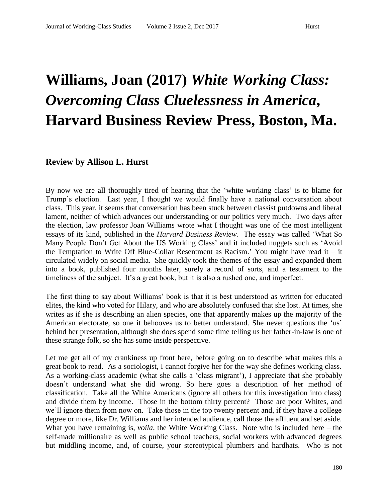## **Williams, Joan (2017)** *White Working Class: Overcoming Class Cluelessness in America***, Harvard Business Review Press, Boston, Ma.**

## **Review by Allison L. Hurst**

By now we are all thoroughly tired of hearing that the 'white working class' is to blame for Trump's election. Last year, I thought we would finally have a national conversation about class. This year, it seems that conversation has been stuck between classist putdowns and liberal lament, neither of which advances our understanding or our politics very much. Two days after the election, law professor Joan Williams wrote what I thought was one of the most intelligent essays of its kind, published in the *Harvard Business Review*. The essay was called 'What So Many People Don't Get About the US Working Class' and it included nuggets such as 'Avoid the Temptation to Write Off Blue-Collar Resentment as Racism.' You might have read it – it circulated widely on social media. She quickly took the themes of the essay and expanded them into a book, published four months later, surely a record of sorts, and a testament to the timeliness of the subject. It's a great book, but it is also a rushed one, and imperfect.

The first thing to say about Williams' book is that it is best understood as written for educated elites, the kind who voted for Hilary, and who are absolutely confused that she lost. At times, she writes as if she is describing an alien species, one that apparently makes up the majority of the American electorate, so one it behooves us to better understand. She never questions the 'us' behind her presentation, although she does spend some time telling us her father-in-law is one of these strange folk, so she has some inside perspective.

Let me get all of my crankiness up front here, before going on to describe what makes this a great book to read. As a sociologist, I cannot forgive her for the way she defines working class. As a working-class academic (what she calls a 'class migrant'), I appreciate that she probably doesn't understand what she did wrong. So here goes a description of her method of classification. Take all the White Americans (ignore all others for this investigation into class) and divide them by income. Those in the bottom thirty percent? Those are poor Whites, and we'll ignore them from now on. Take those in the top twenty percent and, if they have a college degree or more, like Dr. Williams and her intended audience, call those the affluent and set aside. What you have remaining is, *voila*, the White Working Class. Note who is included here – the self-made millionaire as well as public school teachers, social workers with advanced degrees but middling income, and, of course, your stereotypical plumbers and hardhats. Who is not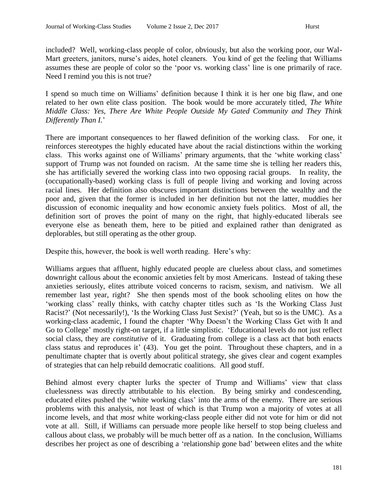included? Well, working-class people of color, obviously, but also the working poor, our Wal-Mart greeters, janitors, nurse's aides, hotel cleaners. You kind of get the feeling that Williams assumes these are people of color so the 'poor vs. working class' line is one primarily of race. Need I remind you this is not true?

I spend so much time on Williams' definition because I think it is her one big flaw, and one related to her own elite class position. The book would be more accurately titled, *The White Middle Class: Yes, There Are White People Outside My Gated Community and They Think Differently Than I.*'

There are important consequences to her flawed definition of the working class. For one, it reinforces stereotypes the highly educated have about the racial distinctions within the working class. This works against one of Williams' primary arguments, that the 'white working class' support of Trump was not founded on racism. At the same time she is telling her readers this, she has artificially severed the working class into two opposing racial groups. In reality, the (occupationally-based) working class is full of people living and working and loving across racial lines. Her definition also obscures important distinctions between the wealthy and the poor and, given that the former is included in her definition but not the latter, muddies her discussion of economic inequality and how economic anxiety fuels politics. Most of all, the definition sort of proves the point of many on the right, that highly-educated liberals see everyone else as beneath them, here to be pitied and explained rather than denigrated as deplorables, but still operating as the other group.

Despite this, however, the book is well worth reading. Here's why:

Williams argues that affluent, highly educated people are clueless about class, and sometimes downright callous about the economic anxieties felt by most Americans. Instead of taking these anxieties seriously, elites attribute voiced concerns to racism, sexism, and nativism. We all remember last year, right? She then spends most of the book schooling elites on how the 'working class' really thinks, with catchy chapter titles such as 'Is the Working Class Just Racist?' (Not necessarily!), 'Is the Working Class Just Sexist?' (Yeah, but so is the UMC). As a working-class academic, I found the chapter 'Why Doesn't the Working Class Get with It and Go to College' mostly right-on target, if a little simplistic. 'Educational levels do not just reflect social class, they are *constitutive* of it. Graduating from college is a class act that both enacts class status and reproduces it' (43). You get the point. Throughout these chapters, and in a penultimate chapter that is overtly about political strategy, she gives clear and cogent examples of strategies that can help rebuild democratic coalitions. All good stuff.

Behind almost every chapter lurks the specter of Trump and Williams' view that class cluelessness was directly attributable to his election. By being smirky and condescending, educated elites pushed the 'white working class' into the arms of the enemy. There are serious problems with this analysis, not least of which is that Trump won a majority of votes at all income levels, and that *most* white working-class people either did not vote for him or did not vote at all. Still, if Williams can persuade more people like herself to stop being clueless and callous about class, we probably will be much better off as a nation. In the conclusion, Williams describes her project as one of describing a 'relationship gone bad' between elites and the white